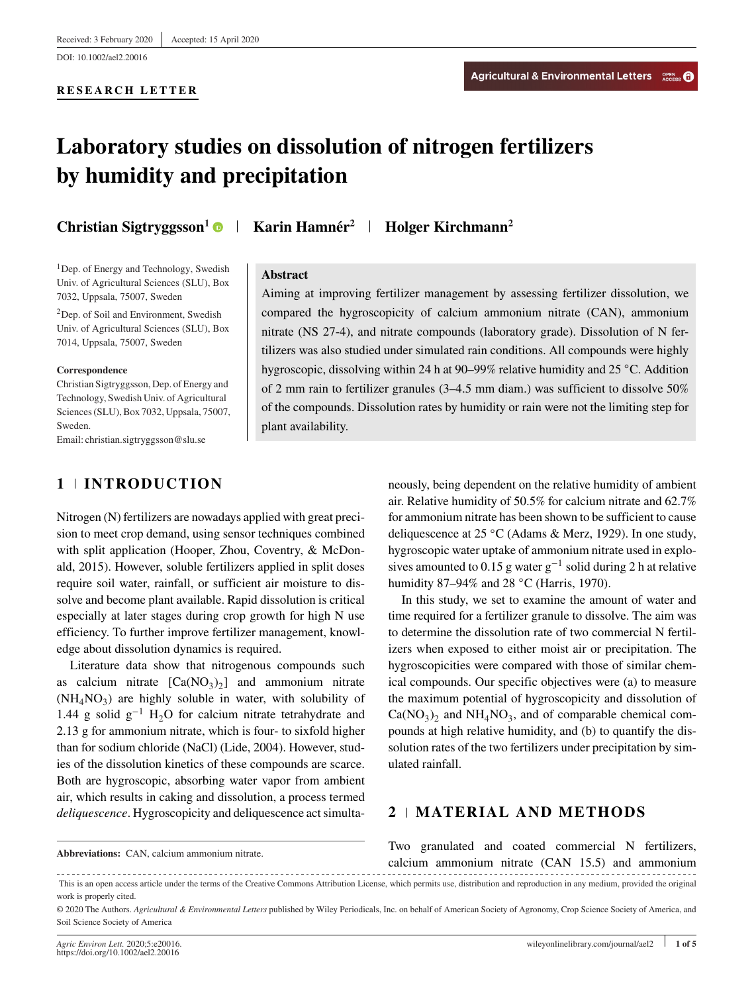#### **RESEARCH LETTER**

# **Laboratory studies on dissolution of nitrogen fertilizers by humidity and precipitation**

<sup>1</sup>Dep. of Energy and Technology, Swedish Univ. of Agricultural Sciences (SLU), Box 7032, Uppsala, 75007, Sweden

2Dep. of Soil and Environment, Swedish Univ. of Agricultural Sciences (SLU), Box 7014, Uppsala, 75007, Sweden

#### **Correspondence**

Christian Sigtryggsson, Dep. of Energy and Technology, Swedish Univ. of Agricultural Sciences (SLU), Box 7032, Uppsala, 75007, Sweden.

Email: christian.sigtryggsson@slu.se

# **1 INTRODUCTION**

Nitrogen (N) fertilizers are nowadays applied with great precision to meet crop demand, using sensor techniques combined with split application (Hooper, Zhou, Coventry, & McDonald, 2015). However, soluble fertilizers applied in split doses require soil water, rainfall, or sufficient air moisture to dissolve and become plant available. Rapid dissolution is critical especially at later stages during crop growth for high N use efficiency. To further improve fertilizer management, knowledge about dissolution dynamics is required.

Literature data show that nitrogenous compounds such as calcium nitrate  $[Ca(NO<sub>3</sub>)<sub>2</sub>]$  and ammonium nitrate  $(NH_4NO_3)$  are highly soluble in water, with solubility of 1.44 g solid  $g^{-1}$  H<sub>2</sub>O for calcium nitrate tetrahydrate and 2.13 g for ammonium nitrate, which is four- to sixfold higher than for sodium chloride (NaCl) (Lide, 2004). However, studies of the dissolution kinetics of these compounds are scarce. Both are hygroscopic, absorbing water vapor from ambient air, which results in caking and dissolution, a process termed *deliquescence*. Hygroscopicity and deliquescence act simulta-

**Christian Sigtryggsson<sup>1</sup> • Karin Hamnér<sup>2</sup> + Holger Kirchmann<sup>2</sup>** 

# **Abstract**

Aiming at improving fertilizer management by assessing fertilizer dissolution, we compared the hygroscopicity of calcium ammonium nitrate (CAN), ammonium nitrate (NS 27-4), and nitrate compounds (laboratory grade). Dissolution of N fertilizers was also studied under simulated rain conditions. All compounds were highly hygroscopic, dissolving within 24 h at 90–99% relative humidity and 25 ◦C. Addition of 2 mm rain to fertilizer granules (3–4.5 mm diam.) was sufficient to dissolve 50% of the compounds. Dissolution rates by humidity or rain were not the limiting step for plant availability.

> neously, being dependent on the relative humidity of ambient air. Relative humidity of 50.5% for calcium nitrate and 62.7% for ammonium nitrate has been shown to be sufficient to cause deliquescence at 25 ◦C (Adams & Merz, 1929). In one study, hygroscopic water uptake of ammonium nitrate used in explosives amounted to 0.15 g water  $g^{-1}$  solid during 2 h at relative humidity 87–94% and 28 °C (Harris, 1970).

> In this study, we set to examine the amount of water and time required for a fertilizer granule to dissolve. The aim was to determine the dissolution rate of two commercial N fertilizers when exposed to either moist air or precipitation. The hygroscopicities were compared with those of similar chemical compounds. Our specific objectives were (a) to measure the maximum potential of hygroscopicity and dissolution of  $Ca(NO<sub>3</sub>)<sub>2</sub>$  and NH<sub>4</sub>NO<sub>3</sub>, and of comparable chemical compounds at high relative humidity, and (b) to quantify the dissolution rates of the two fertilizers under precipitation by simulated rainfall.

# **2 MATERIAL AND METHODS**

**Abbreviations:** CAN, calcium ammonium nitrate.

Two granulated and coated commercial N fertilizers, calcium ammonium nitrate (CAN 15.5) and ammonium

This is an open access article under the terms of the [Creative Commons Attribution](http://creativecommons.org/licenses/by/4.0/) License, which permits use, distribution and reproduction in any medium, provided the original work is properly cited.

<sup>© 2020</sup> The Authors. *Agricultural & Environmental Letters* published by Wiley Periodicals, Inc. on behalf of American Society of Agronomy, Crop Science Society of America, and Soil Science Society of America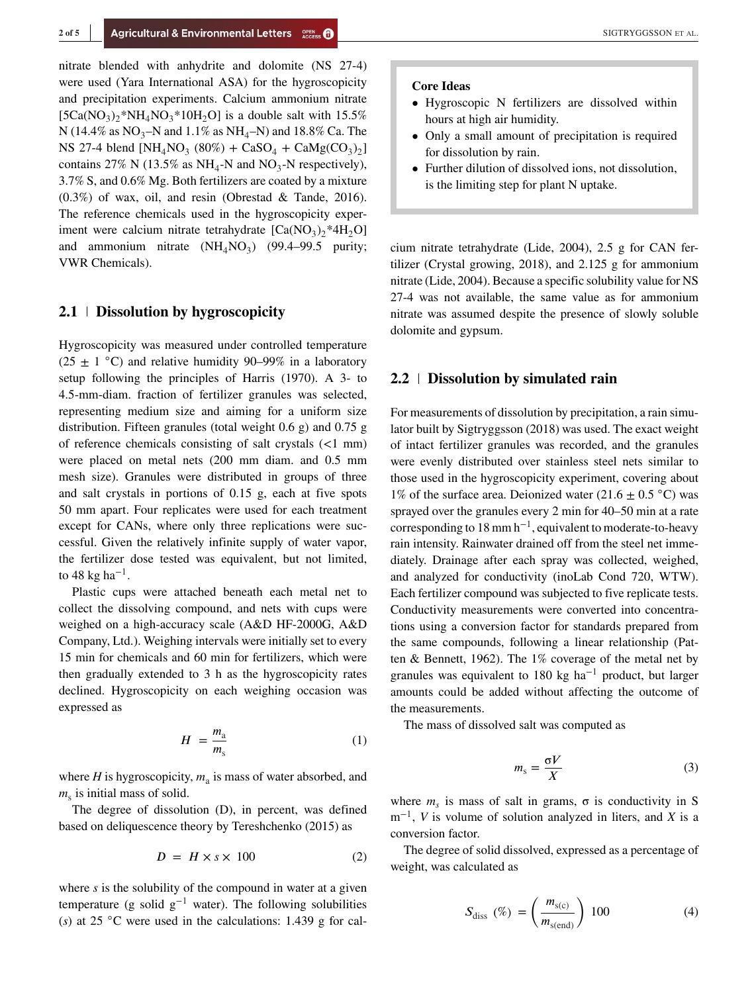nitrate blended with anhydrite and dolomite (NS 27-4) were used (Yara International ASA) for the hygroscopicity and precipitation experiments. Calcium ammonium nitrate  $[5Ca(NO<sub>3</sub>)<sub>2</sub><sup>*</sup>NH<sub>4</sub>NO<sub>3</sub><sup>*</sup>10H<sub>2</sub>O]$  is a double salt with 15.5% N (14.4% as  $NO_3-N$  and 1.1% as  $NH_4-N$ ) and 18.8% Ca. The NS 27-4 blend  $[NH_4NO_3 (80%) + CaSO_4 + CaMg(CO_3)_2]$ contains 27% N (13.5% as NH<sub>4</sub>-N and NO<sub>3</sub>-N respectively), 3.7% S, and 0.6% Mg. Both fertilizers are coated by a mixture (0.3%) of wax, oil, and resin (Obrestad & Tande, 2016). The reference chemicals used in the hygroscopicity experiment were calcium nitrate tetrahydrate  $[Ca(NO<sub>3</sub>)<sub>2</sub> *4H<sub>2</sub>O]$ and ammonium nitrate  $(NH<sub>4</sub>NO<sub>3</sub>)$  (99.4–99.5 purity; VWR Chemicals).

# **2.1 Dissolution by hygroscopicity**

Hygroscopicity was measured under controlled temperature (25  $\pm$  1 °C) and relative humidity 90–99% in a laboratory setup following the principles of Harris (1970). A 3- to 4.5-mm-diam. fraction of fertilizer granules was selected, representing medium size and aiming for a uniform size distribution. Fifteen granules (total weight 0.6 g) and 0.75 g of reference chemicals consisting of salt crystals (<1 mm) were placed on metal nets (200 mm diam. and 0.5 mm mesh size). Granules were distributed in groups of three and salt crystals in portions of 0.15 g, each at five spots 50 mm apart. Four replicates were used for each treatment except for CANs, where only three replications were successful. Given the relatively infinite supply of water vapor, the fertilizer dose tested was equivalent, but not limited, to 48 kg ha<sup>-1</sup>.

Plastic cups were attached beneath each metal net to collect the dissolving compound, and nets with cups were weighed on a high-accuracy scale (A&D HF-2000G, A&D Company, Ltd.). Weighing intervals were initially set to every 15 min for chemicals and 60 min for fertilizers, which were then gradually extended to 3 h as the hygroscopicity rates declined. Hygroscopicity on each weighing occasion was expressed as

$$
H = \frac{m_a}{m_s} \tag{1}
$$

where  $H$  is hygroscopicity,  $m_a$  is mass of water absorbed, and  $m<sub>s</sub>$  is initial mass of solid.

The degree of dissolution (D), in percent, was defined based on deliquescence theory by Tereshchenko (2015) as

$$
D = H \times s \times 100 \tag{2}
$$

where *s* is the solubility of the compound in water at a given temperature (g solid  $g^{-1}$  water). The following solubilities (*s*) at 25 ◦C were used in the calculations: 1.439 g for cal-

#### **Core Ideas**

- Hygroscopic N fertilizers are dissolved within hours at high air humidity.
- Only a small amount of precipitation is required for dissolution by rain.
- Further dilution of dissolved ions, not dissolution, is the limiting step for plant N uptake.

cium nitrate tetrahydrate (Lide, 2004), 2.5 g for CAN fertilizer (Crystal growing, 2018), and 2.125 g for ammonium nitrate (Lide, 2004). Because a specific solubility value for NS 27-4 was not available, the same value as for ammonium nitrate was assumed despite the presence of slowly soluble dolomite and gypsum.

# **2.2 Dissolution by simulated rain**

For measurements of dissolution by precipitation, a rain simulator built by Sigtryggsson (2018) was used. The exact weight of intact fertilizer granules was recorded, and the granules were evenly distributed over stainless steel nets similar to those used in the hygroscopicity experiment, covering about 1% of the surface area. Deionized water (21.6  $\pm$  0.5 °C) was sprayed over the granules every 2 min for 40–50 min at a rate corresponding to 18 mm  $h^{-1}$ , equivalent to moderate-to-heavy rain intensity. Rainwater drained off from the steel net immediately. Drainage after each spray was collected, weighed, and analyzed for conductivity (inoLab Cond 720, WTW). Each fertilizer compound was subjected to five replicate tests. Conductivity measurements were converted into concentrations using a conversion factor for standards prepared from the same compounds, following a linear relationship (Patten & Bennett, 1962). The 1% coverage of the metal net by granules was equivalent to 180 kg ha−<sup>1</sup> product, but larger amounts could be added without affecting the outcome of the measurements.

The mass of dissolved salt was computed as

$$
m_{\rm s} = \frac{\sigma V}{X} \tag{3}
$$

where  $m<sub>s</sub>$  is mass of salt in grams,  $\sigma$  is conductivity in S m<sup>−</sup>1, *V* is volume of solution analyzed in liters, and *X* is a conversion factor.

The degree of solid dissolved, expressed as a percentage of weight, was calculated as

$$
S_{\text{diss}}\ (\%) = \left(\frac{m_{\text{s(c)}}}{m_{\text{s(end)}}}\right) \ 100\tag{4}
$$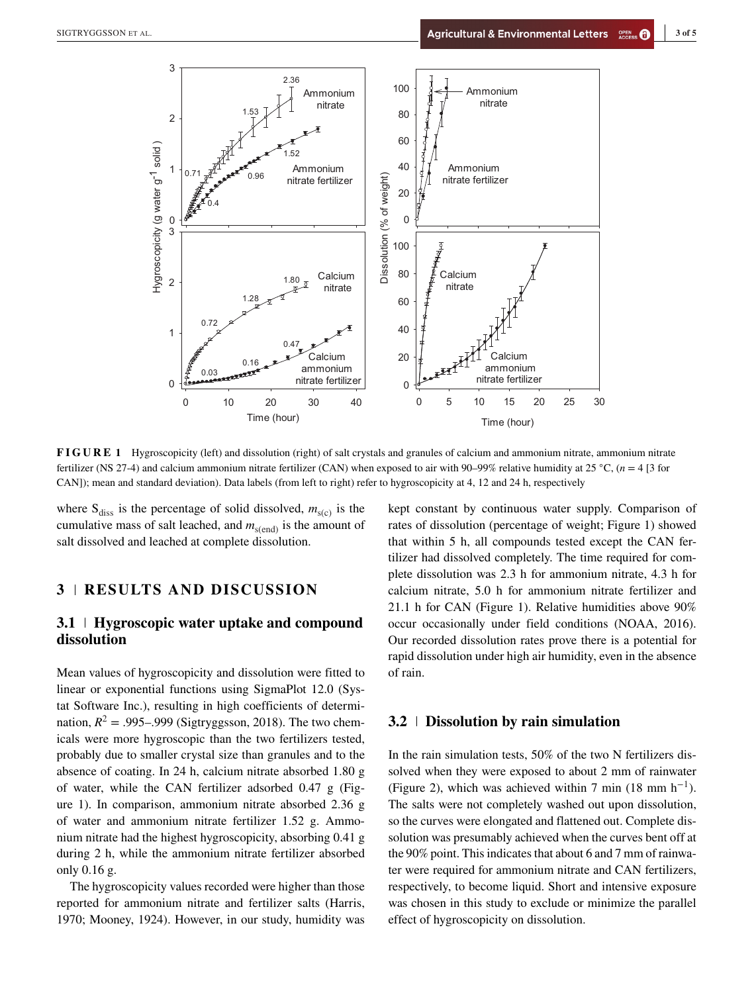

**FIGURE 1** Hygroscopicity (left) and dissolution (right) of salt crystals and granules of calcium and ammonium nitrate, ammonium nitrate fertilizer (NS 27-4) and calcium ammonium nitrate fertilizer (CAN) when exposed to air with 90–99% relative humidity at 25 ◦C, (*n* = 4 [3 for CAN]); mean and standard deviation). Data labels (from left to right) refer to hygroscopicity at 4, 12 and 24 h, respectively

where  $S_{diss}$  is the percentage of solid dissolved,  $m_{s(c)}$  is the cumulative mass of salt leached, and  $m_{s(end)}$  is the amount of salt dissolved and leached at complete dissolution.

# **3 RESULTS AND DISCUSSION**

# **3.1 Hygroscopic water uptake and compound dissolution**

Mean values of hygroscopicity and dissolution were fitted to linear or exponential functions using SigmaPlot 12.0 (Systat Software Inc.), resulting in high coefficients of determination,  $R^2 = .995-.999$  (Sigtryggsson, 2018). The two chemicals were more hygroscopic than the two fertilizers tested, probably due to smaller crystal size than granules and to the absence of coating. In 24 h, calcium nitrate absorbed 1.80 g of water, while the CAN fertilizer adsorbed 0.47 g (Figure 1). In comparison, ammonium nitrate absorbed 2.36 g of water and ammonium nitrate fertilizer 1.52 g. Ammonium nitrate had the highest hygroscopicity, absorbing 0.41 g during 2 h, while the ammonium nitrate fertilizer absorbed only 0.16 g.

The hygroscopicity values recorded were higher than those reported for ammonium nitrate and fertilizer salts (Harris, 1970; Mooney, 1924). However, in our study, humidity was kept constant by continuous water supply. Comparison of rates of dissolution (percentage of weight; Figure 1) showed that within 5 h, all compounds tested except the CAN fertilizer had dissolved completely. The time required for complete dissolution was 2.3 h for ammonium nitrate, 4.3 h for calcium nitrate, 5.0 h for ammonium nitrate fertilizer and 21.1 h for CAN (Figure 1). Relative humidities above 90% occur occasionally under field conditions (NOAA, 2016). Our recorded dissolution rates prove there is a potential for rapid dissolution under high air humidity, even in the absence of rain.

### **3.2 Dissolution by rain simulation**

In the rain simulation tests, 50% of the two N fertilizers dissolved when they were exposed to about 2 mm of rainwater (Figure 2), which was achieved within 7 min (18 mm  $h^{-1}$ ). The salts were not completely washed out upon dissolution, so the curves were elongated and flattened out. Complete dissolution was presumably achieved when the curves bent off at the 90% point. This indicates that about 6 and 7 mm of rainwater were required for ammonium nitrate and CAN fertilizers, respectively, to become liquid. Short and intensive exposure was chosen in this study to exclude or minimize the parallel effect of hygroscopicity on dissolution.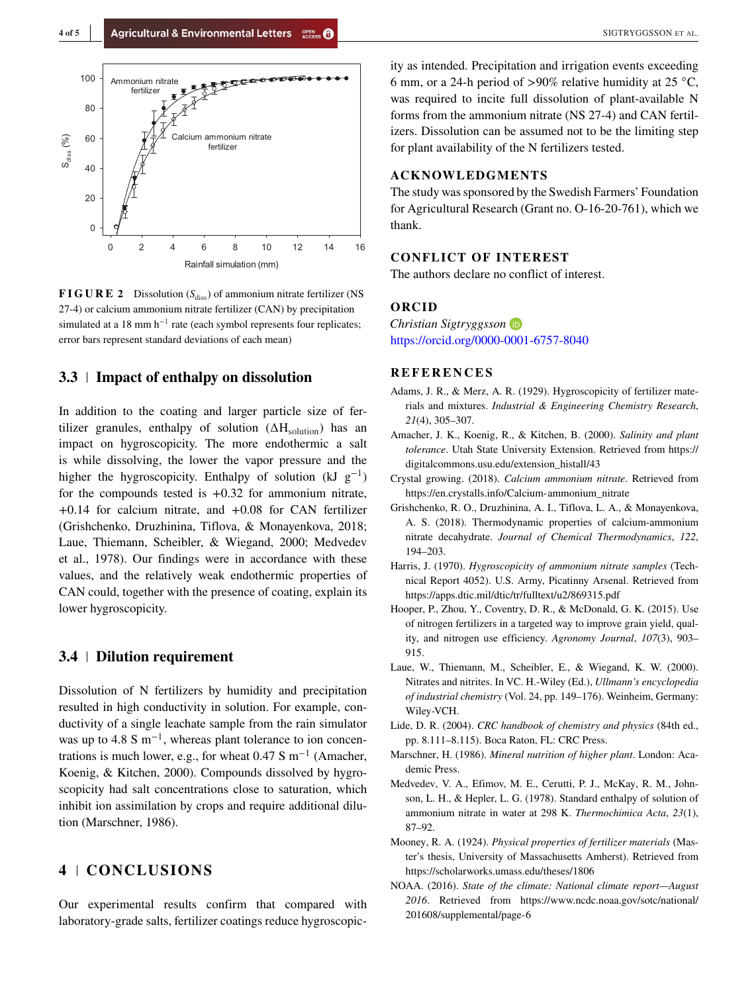

**FIGURE 2** Dissolution  $(S_{diss})$  of ammonium nitrate fertilizer (NS 27-4) or calcium ammonium nitrate fertilizer (CAN) by precipitation simulated at a 18 mm  $h^{-1}$  rate (each symbol represents four replicates; error bars represent standard deviations of each mean)

# **3.3 Impact of enthalpy on dissolution**

In addition to the coating and larger particle size of fertilizer granules, enthalpy of solution  $(\Delta H_{\text{solution}})$  has an impact on hygroscopicity. The more endothermic a salt is while dissolving, the lower the vapor pressure and the higher the hygroscopicity. Enthalpy of solution (kJ  $g^{-1}$ ) for the compounds tested is  $+0.32$  for ammonium nitrate, +0.14 for calcium nitrate, and +0.08 for CAN fertilizer (Grishchenko, Druzhinina, Tiflova, & Monayenkova, 2018; Laue, Thiemann, Scheibler, & Wiegand, 2000; Medvedev et al., 1978). Our findings were in accordance with these values, and the relatively weak endothermic properties of CAN could, together with the presence of coating, explain its lower hygroscopicity.

#### **3.4 Dilution requirement**

Dissolution of N fertilizers by humidity and precipitation resulted in high conductivity in solution. For example, conductivity of a single leachate sample from the rain simulator was up to 4.8 S m<sup>-1</sup>, whereas plant tolerance to ion concentrations is much lower, e.g., for wheat  $0.47$  S m<sup>-1</sup> (Amacher, Koenig, & Kitchen, 2000). Compounds dissolved by hygroscopicity had salt concentrations close to saturation, which inhibit ion assimilation by crops and require additional dilution (Marschner, 1986).

# **4 CONCLUSIONS**

Our experimental results confirm that compared with laboratory-grade salts, fertilizer coatings reduce hygroscopicity as intended. Precipitation and irrigation events exceeding 6 mm, or a 24-h period of >90% relative humidity at 25  $^{\circ}$ C, was required to incite full dissolution of plant-available N forms from the ammonium nitrate (NS 27-4) and CAN fertilizers. Dissolution can be assumed not to be the limiting step for plant availability of the N fertilizers tested.

#### **ACKNOWLEDGMENTS**

The study was sponsored by the Swedish Farmers' Foundation for Agricultural Research (Grant no. O-16-20-761), which we thank.

#### **CONFLICT OF INTEREST**

The authors declare no conflict of interest.

### **ORCID**

*Christian Sigtryggsson* <https://orcid.org/0000-0001-6757-8040>

#### **REFERENCES**

- Adams, J. R., & Merz, A. R. (1929). Hygroscopicity of fertilizer materials and mixtures. *Industrial & Engineering Chemistry Research*, *21*(4), 305–307.
- Amacher, J. K., Koenig, R., & Kitchen, B. (2000). *Salinity and plant tolerance*. Utah State University Extension. Retrieved from [https://](https://digitalcommons.usu.edu/extension_histall/43) [digitalcommons.usu.edu/extension\\_histall/43](https://digitalcommons.usu.edu/extension_histall/43)
- Crystal growing. (2018). *Calcium ammonium nitrate*. Retrieved from [https://en.crystalls.info/Calcium-ammonium\\_nitrate](https://en.crystalls.info/Calcium-ammonium_nitrate)
- Grishchenko, R. O., Druzhinina, A. I., Tiflova, L. A., & Monayenkova, A. S. (2018). Thermodynamic properties of calcium-ammonium nitrate decahydrate. *Journal of Chemical Thermodynamics*, *122*, 194–203.
- Harris, J. (1970). *Hygroscopicity of ammonium nitrate samples* (Technical Report 4052). U.S. Army, Picatinny Arsenal. Retrieved from <https://apps.dtic.mil/dtic/tr/fulltext/u2/869315.pdf>
- Hooper, P., Zhou, Y., Coventry, D. R., & McDonald, G. K. (2015). Use of nitrogen fertilizers in a targeted way to improve grain yield, quality, and nitrogen use efficiency. *Agronomy Journal*, *107*(3), 903– 915.
- Laue, W., Thiemann, M., Scheibler, E., & Wiegand, K. W. (2000). Nitrates and nitrites. In VC. H.-Wiley (Ed.), *Ullmann's encyclopedia of industrial chemistry* (Vol. 24, pp. 149–176). Weinheim, Germany: Wiley-VCH.
- Lide, D. R. (2004). *CRC handbook of chemistry and physics* (84th ed., pp. 8.111–8.115). Boca Raton, FL: CRC Press.
- Marschner, H. (1986). *Mineral nutrition of higher plant*. London: Academic Press.
- Medvedev, V. A., Efimov, M. E., Cerutti, P. J., McKay, R. M., Johnson, L. H., & Hepler, L. G. (1978). Standard enthalpy of solution of ammonium nitrate in water at 298 K. *Thermochimica Acta*, *23*(1), 87–92.
- Mooney, R. A. (1924). *Physical properties of fertilizer materials* (Master's thesis, University of Massachusetts Amherst). Retrieved from <https://scholarworks.umass.edu/theses/1806>
- NOAA. (2016). *State of the climate: National climate report—August 2016*. Retrieved from [https://www.ncdc.noaa.gov/sotc/national/](https://www.ncdc.noaa.gov/sotc/national/201608/supplemental/page-6) [201608/supplemental/page-6](https://www.ncdc.noaa.gov/sotc/national/201608/supplemental/page-6)